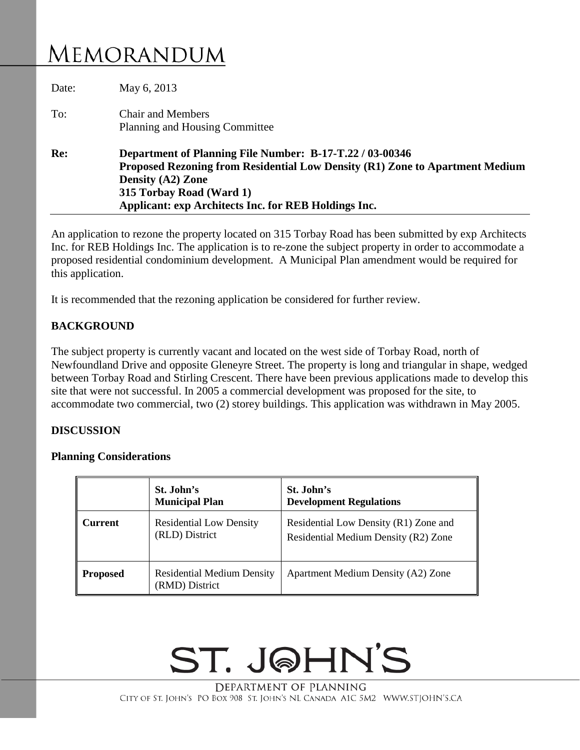## **MEMORANDUM**

| Date: | May 6, 2013                                                                                                                                                                                                                                       |  |  |
|-------|---------------------------------------------------------------------------------------------------------------------------------------------------------------------------------------------------------------------------------------------------|--|--|
| To:   | <b>Chair and Members</b><br>Planning and Housing Committee                                                                                                                                                                                        |  |  |
| Re:   | Department of Planning File Number: B-17-T.22 / 03-00346<br>Proposed Rezoning from Residential Low Density (R1) Zone to Apartment Medium<br>Density (A2) Zone<br>315 Torbay Road (Ward 1)<br>Applicant: exp Architects Inc. for REB Holdings Inc. |  |  |

An application to rezone the property located on 315 Torbay Road has been submitted by exp Architects Inc. for REB Holdings Inc. The application is to re-zone the subject property in order to accommodate a proposed residential condominium development. A Municipal Plan amendment would be required for this application.

It is recommended that the rezoning application be considered for further review.

#### **BACKGROUND**

The subject property is currently vacant and located on the west side of Torbay Road, north of Newfoundland Drive and opposite Gleneyre Street. The property is long and triangular in shape, wedged between Torbay Road and Stirling Crescent. There have been previous applications made to develop this site that were not successful. In 2005 a commercial development was proposed for the site, to accommodate two commercial, two (2) storey buildings. This application was withdrawn in May 2005.

#### **DISCUSSION**

#### **Planning Considerations**

|                 | St. John's<br><b>Municipal Plan</b>                 | St. John's<br><b>Development Regulations</b>                                  |
|-----------------|-----------------------------------------------------|-------------------------------------------------------------------------------|
| Current         | <b>Residential Low Density</b><br>(RLD) District    | Residential Low Density (R1) Zone and<br>Residential Medium Density (R2) Zone |
| <b>Proposed</b> | <b>Residential Medium Density</b><br>(RMD) District | Apartment Medium Density (A2) Zone                                            |

# ST. JOHN'S

DEPARTMENT OF PLANNING CITY OF ST. JOHN'S PO BOX 908 ST. JOHN'S NL CANADA A1C 5M2 WWW.STJOHN'S.CA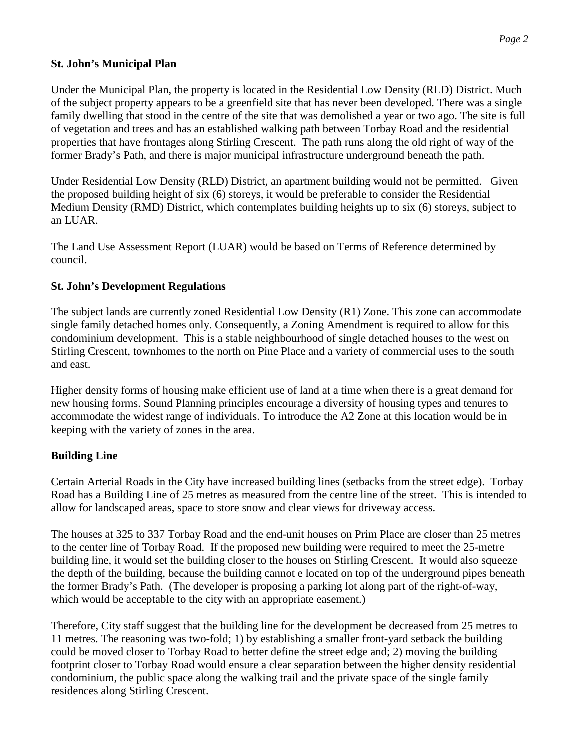#### **St. John's Municipal Plan**

Under the Municipal Plan, the property is located in the Residential Low Density (RLD) District. Much of the subject property appears to be a greenfield site that has never been developed. There was a single family dwelling that stood in the centre of the site that was demolished a year or two ago. The site is full of vegetation and trees and has an established walking path between Torbay Road and the residential properties that have frontages along Stirling Crescent. The path runs along the old right of way of the former Brady's Path, and there is major municipal infrastructure underground beneath the path.

Under Residential Low Density (RLD) District, an apartment building would not be permitted. Given the proposed building height of six (6) storeys, it would be preferable to consider the Residential Medium Density (RMD) District, which contemplates building heights up to six (6) storeys, subject to an LUAR.

The Land Use Assessment Report (LUAR) would be based on Terms of Reference determined by council.

#### **St. John's Development Regulations**

The subject lands are currently zoned Residential Low Density (R1) Zone. This zone can accommodate single family detached homes only. Consequently, a Zoning Amendment is required to allow for this condominium development. This is a stable neighbourhood of single detached houses to the west on Stirling Crescent, townhomes to the north on Pine Place and a variety of commercial uses to the south and east.

Higher density forms of housing make efficient use of land at a time when there is a great demand for new housing forms. Sound Planning principles encourage a diversity of housing types and tenures to accommodate the widest range of individuals. To introduce the A2 Zone at this location would be in keeping with the variety of zones in the area.

### **Building Line**

Certain Arterial Roads in the City have increased building lines (setbacks from the street edge). Torbay Road has a Building Line of 25 metres as measured from the centre line of the street. This is intended to allow for landscaped areas, space to store snow and clear views for driveway access.

The houses at 325 to 337 Torbay Road and the end-unit houses on Prim Place are closer than 25 metres to the center line of Torbay Road. If the proposed new building were required to meet the 25-metre building line, it would set the building closer to the houses on Stirling Crescent. It would also squeeze the depth of the building, because the building cannot e located on top of the underground pipes beneath the former Brady's Path. (The developer is proposing a parking lot along part of the right-of-way, which would be acceptable to the city with an appropriate easement.)

Therefore, City staff suggest that the building line for the development be decreased from 25 metres to 11 metres. The reasoning was two-fold; 1) by establishing a smaller front-yard setback the building could be moved closer to Torbay Road to better define the street edge and; 2) moving the building footprint closer to Torbay Road would ensure a clear separation between the higher density residential condominium, the public space along the walking trail and the private space of the single family residences along Stirling Crescent.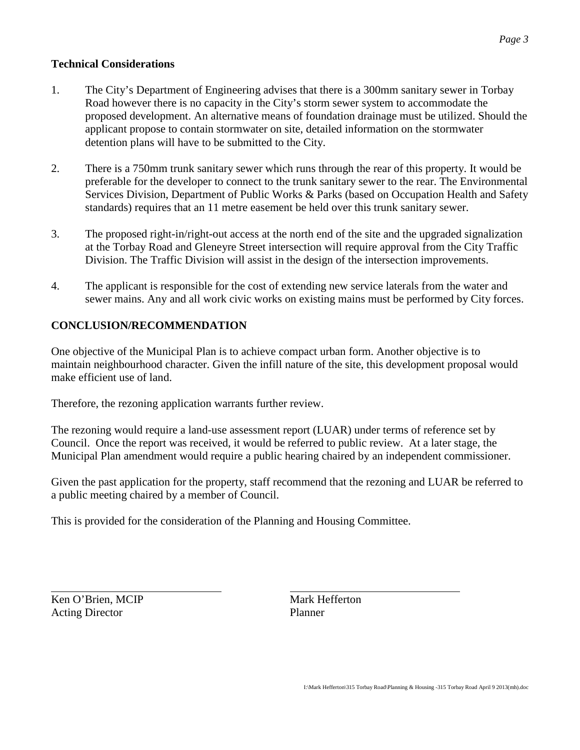#### **Technical Considerations**

- 1. The City's Department of Engineering advises that there is a 300mm sanitary sewer in Torbay Road however there is no capacity in the City's storm sewer system to accommodate the proposed development. An alternative means of foundation drainage must be utilized. Should the applicant propose to contain stormwater on site, detailed information on the stormwater detention plans will have to be submitted to the City.
- 2. There is a 750mm trunk sanitary sewer which runs through the rear of this property. It would be preferable for the developer to connect to the trunk sanitary sewer to the rear. The Environmental Services Division, Department of Public Works & Parks (based on Occupation Health and Safety standards) requires that an 11 metre easement be held over this trunk sanitary sewer.
- 3. The proposed right-in/right-out access at the north end of the site and the upgraded signalization at the Torbay Road and Gleneyre Street intersection will require approval from the City Traffic Division. The Traffic Division will assist in the design of the intersection improvements.
- 4. The applicant is responsible for the cost of extending new service laterals from the water and sewer mains. Any and all work civic works on existing mains must be performed by City forces.

## **CONCLUSION/RECOMMENDATION**

One objective of the Municipal Plan is to achieve compact urban form. Another objective is to maintain neighbourhood character. Given the infill nature of the site, this development proposal would make efficient use of land.

Therefore, the rezoning application warrants further review.

The rezoning would require a land-use assessment report (LUAR) under terms of reference set by Council. Once the report was received, it would be referred to public review. At a later stage, the Municipal Plan amendment would require a public hearing chaired by an independent commissioner.

Given the past application for the property, staff recommend that the rezoning and LUAR be referred to a public meeting chaired by a member of Council.

This is provided for the consideration of the Planning and Housing Committee.

Ken O'Brien, MCIP Mark Hefferton Acting Director Planner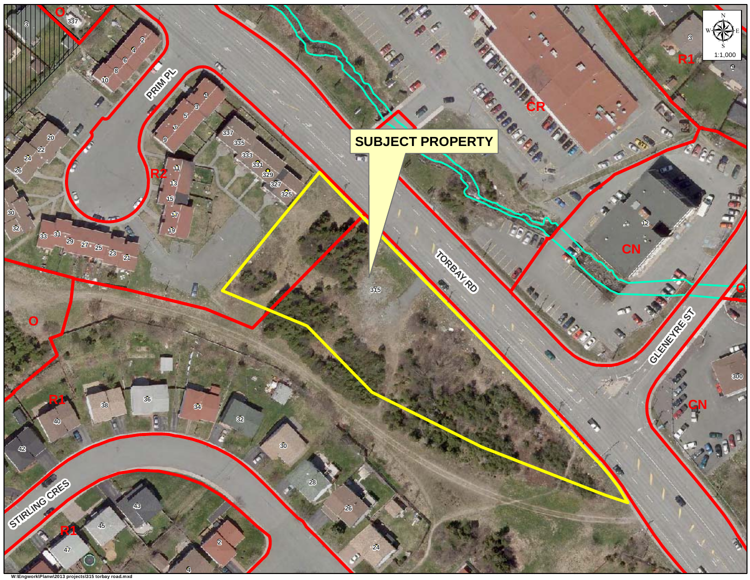#### **O**μ1:1,000 **R1PRIM PL 8 SUBJECT PROPERTY CR 333 331 329 327 325 R2 <sup>31</sup> 29 27 25 23 21 TORBAY RD CNGREAT Sp** Maria **O** $\sigma$  **R1 CN** C **STIRLING CRES R1** P

**O**

**W:\Engwork\Planw\2013 projects\315 torbay road.mxd**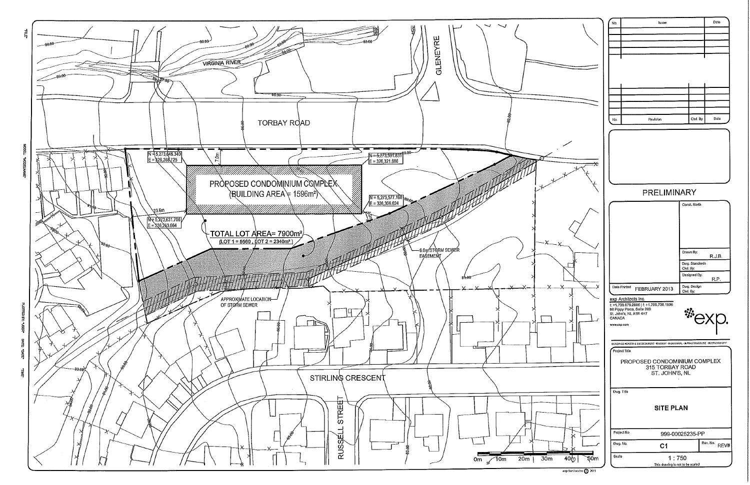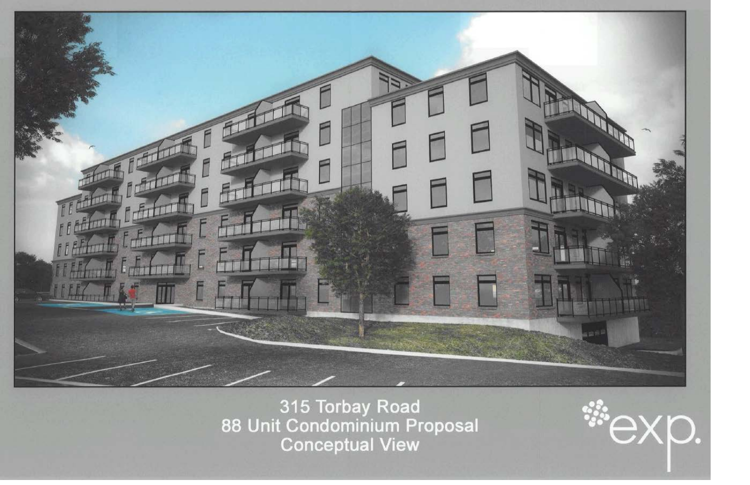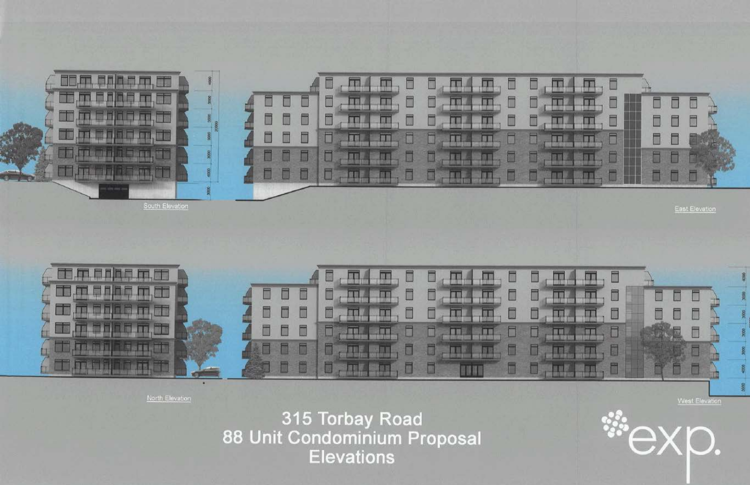



North Elevation

315 Torbay Road 88 Unit Condominium Proposal **Elevations**